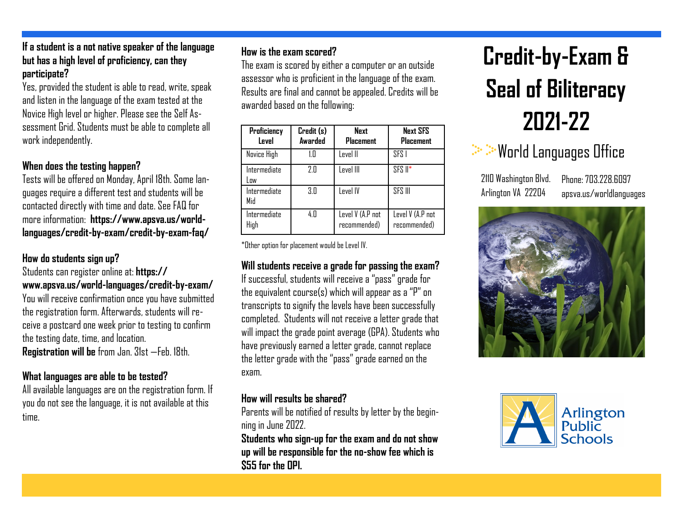#### **If a student is a not native speaker of the language but has a high level of proficiency, can they participate?**

Yes, provided the student is able to read, write, speak and listen in the language of the exam tested at the Novice High level or higher. Please see the Self Assessment Grid. Students must be able to complete all work independently.

#### **When does the testing happen?**

Tests will be offered on Monday, April 18th. Some languages require a different test and students will be contacted directly with time and date. See FAQ for more information: **https://www.apsva.us/worldlanguages/credit-by-exam/credit-by-exam-faq/** 

### **How do students sign up?**

Students can register online at: **https:// www.apsva.us/world-languages/credit-by-exam/** You will receive confirmation once you have submitted the registration form. Afterwards, students will receive a postcard one week prior to testing to confirm the testing date, time, and location. **Registration will be** from Jan. 31st —Feb. 18th.

## **What languages are able to be tested?**

All available languages are on the registration form. If you do not see the language, it is not available at this time.

## **How is the exam scored?**

The exam is scored by either a computer or an outside assessor who is proficient in the language of the exam. Results are final and cannot be appealed. Credits will be awarded based on the following:

| Proficiency<br>Level | Credit (s)<br>Awarded | Next<br><b>Placement</b>         | <b>Next SFS</b><br><b>Placement</b> |
|----------------------|-----------------------|----------------------------------|-------------------------------------|
| <b>Novice High</b>   | 1 П                   | Level II                         | SFS I                               |
| Intermediate<br>Low  | 2.Π                   | Level III                        | $SFS II*$                           |
| Intermediate<br>Mid  | 3.0                   | Level IV                         | <b>SFS III</b>                      |
| Intermediate<br>High | 4.0                   | Level V (A.P not<br>recommended) | Level V (A.P not<br>recommended)    |

\*Other option for placement would be Level IV.

### **Will students receive a grade for passing the exam?**

If successful, students will receive a "pass" grade for the equivalent course(s) which will appear as a "P" on transcripts to signify the levels have been successfully completed. Students will not receive a letter grade that will impact the grade point average (GPA). Students who have previously earned a letter grade, cannot replace the letter grade with the "pass" grade earned on the exam.

## **How will results be shared?**

Parents will be notified of results by letter by the beginning in June 2022.

**Students who sign-up for the exam and do not show up will be responsible for the no-show fee which is \$55 for the OPI.** 

# **Credit-by-Exam & Seal of Biliteracy 2021-22**



2110 Washington Blvd. Arlington VA 22204

Phone: 703 778 6097 apsva.us/worldlanguages